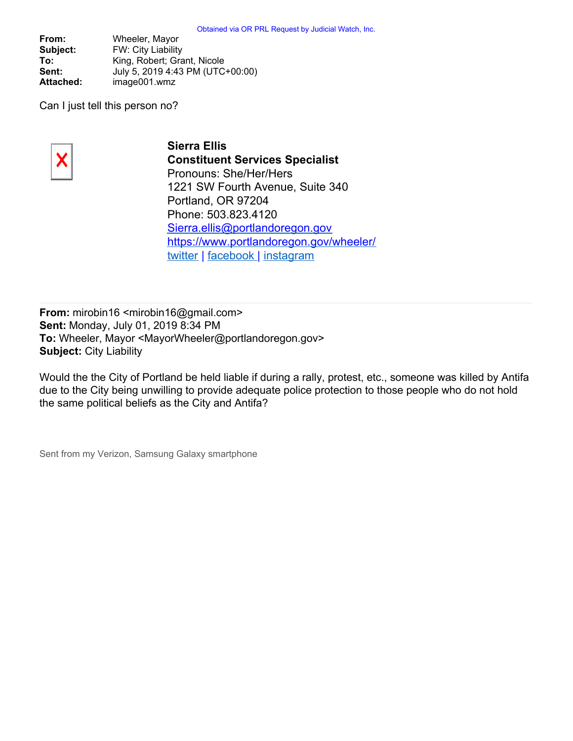**From:** Wheeler, Mayor **Subject:** FW: City Liability To: King, Robert; Grant, Nicole **Sent:** July 5, 2019 4:43 PM (UTC+00:00) **Attached:** image001.wmz

Can I just tell this person no?



**Sierra Ellis Constituent Services Specialist** Pronouns: She/Her/Hers 1221 SW Fourth Avenue, Suite 340 Portland, OR 97204 Phone: 503.823.4120 [Sierra.ellis@portlandoregon.gov](mailto:Sierra.ellis@portlandoregon.gov) <https://www.portlandoregon.gov/wheeler/> [twitter](https://twitter.com/tedwheeler) | [facebook](https://www.facebook.com/PDXMayorTedWheeler/) | [instagram](https://www.instagram.com/tedwheelerpdx/?hl=en)

**From:** mirobin16 <mirobin16@gmail.com> **Sent:** Monday, July 01, 2019 8:34 PM **To:** Wheeler, Mayor <MayorWheeler@portlandoregon.gov> **Subject:** City Liability

Would the the City of Portland be held liable if during a rally, protest, etc., someone was killed by Antifa due to the City being unwilling to provide adequate police protection to those people who do not hold the same political beliefs as the City and Antifa?

Sent from my Verizon, Samsung Galaxy smartphone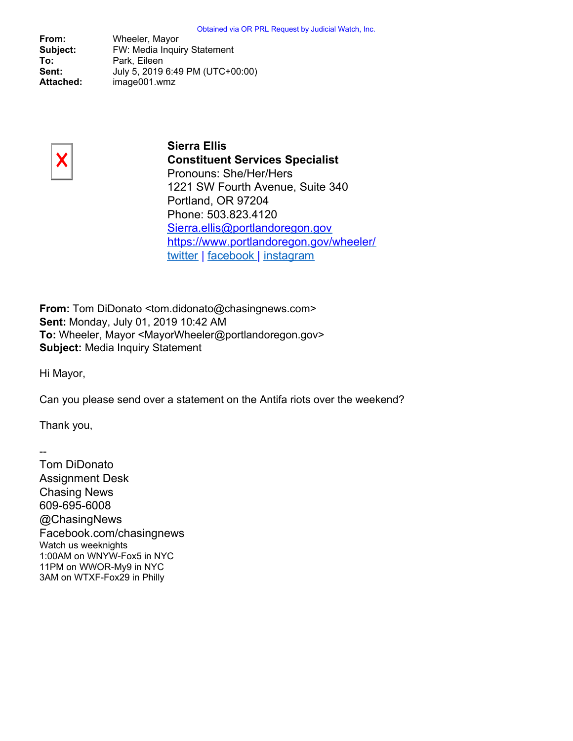**From:** Wheeler, Mayor **Subject:** FW: Media Inquiry Statement **To:** Park, Eileen **Sent:** July 5, 2019 6:49 PM (UTC+00:00) **Attached:** image001.wmz



**Sierra Ellis Constituent Services Specialist** Pronouns: She/Her/Hers 1221 SW Fourth Avenue, Suite 340 Portland, OR 97204 Phone: 503.823.4120 [Sierra.ellis@portlandoregon.gov](mailto:Sierra.ellis@portlandoregon.gov) <https://www.portlandoregon.gov/wheeler/> [twitter](https://twitter.com/tedwheeler) | [facebook](https://www.facebook.com/PDXMayorTedWheeler/) | [instagram](https://www.instagram.com/tedwheelerpdx/?hl=en)

**From:** Tom DiDonato <tom.didonato@chasingnews.com> **Sent:** Monday, July 01, 2019 10:42 AM **To:** Wheeler, Mayor <MayorWheeler@portlandoregon.gov> **Subject:** Media Inquiry Statement

Hi Mayor,

Can you please send over a statement on the Antifa riots over the weekend?

Thank you,

--

Tom DiDonato Assignment Desk Chasing News 609-695-6008 @ChasingNews Facebook.com/chasingnews Watch us weeknights 1:00AM on WNYW-Fox5 in NYC 11PM on WWOR-My9 in NYC 3AM on WTXF-Fox29 in Philly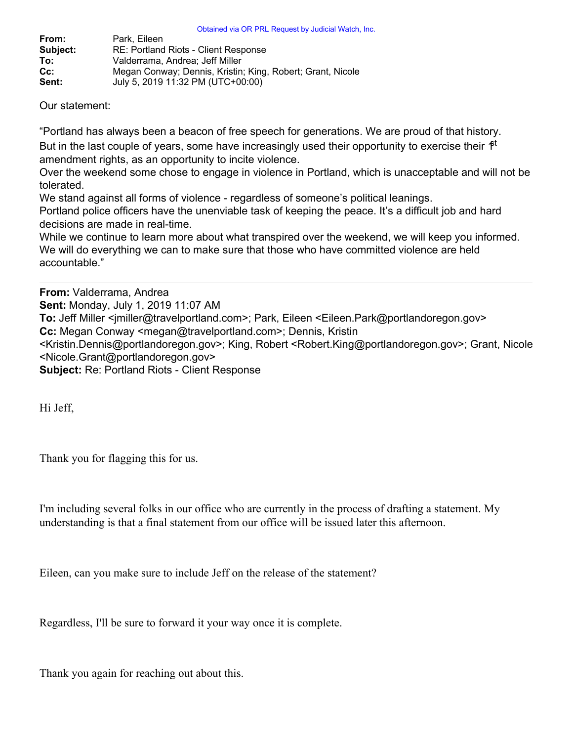| From:    | Park. Eileen                                               |
|----------|------------------------------------------------------------|
| Subject: | RE: Portland Riots - Client Response                       |
| To:      | Valderrama, Andrea: Jeff Miller                            |
| $Cc$ :   | Megan Conway; Dennis, Kristin; King, Robert; Grant, Nicole |
| Sent:    | July 5, 2019 11:32 PM (UTC+00:00)                          |

Our statement:

"Portland has always been a beacon of free speech for generations. We are proud of that history.

But in the last couple of years, some have increasingly used their opportunity to exercise their  $\hat{P}^t$ amendment rights, as an opportunity to incite violence.

Over the weekend some chose to engage in violence in Portland, which is unacceptable and will not be tolerated.

We stand against all forms of violence - regardless of someone's political leanings. Portland police officers have the unenviable task of keeping the peace. It's a difficult job and hard decisions are made in real-time.

While we continue to learn more about what transpired over the weekend, we will keep you informed. We will do everything we can to make sure that those who have committed violence are held accountable."

**From:** Valderrama, Andrea

**Sent:** Monday, July 1, 2019 11:07 AM

To: Jeff Miller <imiller@travelportland.com>; Park, Eileen <Eileen.Park@portlandoregon.gov>

**Cc:** Megan Conway <megan@travelportland.com>; Dennis, Kristin

<Kristin.Dennis@portlandoregon.gov>; King, Robert <Robert.King@portlandoregon.gov>; Grant, Nicole <Nicole.Grant@portlandoregon.gov>

**Subject:** Re: Portland Riots - Client Response

Hi Jeff,

Thank you for flagging this for us.

I'm including several folks in our office who are currently in the process of drafting a statement. My understanding is that a final statement from our office will be issued later this afternoon.

Eileen, can you make sure to include Jeff on the release of the statement?

Regardless, I'll be sure to forward it your way once it is complete.

Thank you again for reaching out about this.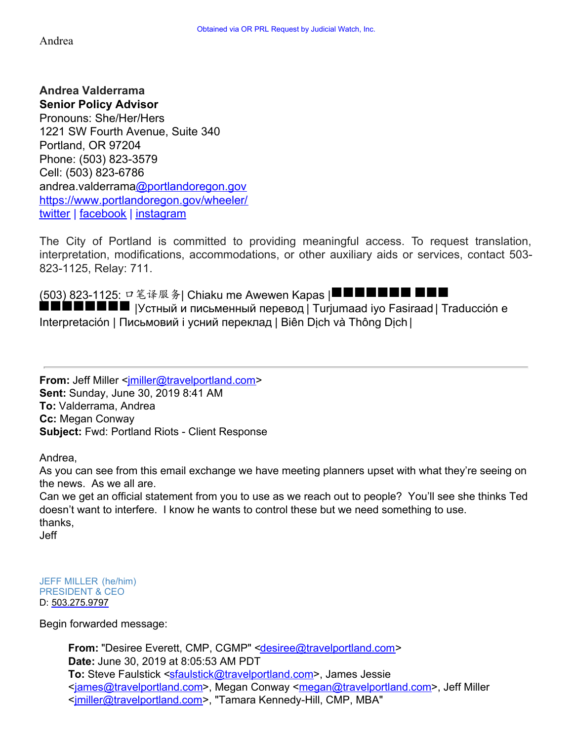## Andrea

**Andrea Valderrama Senior Policy Advisor** Pronouns: She/Her/Hers 1221 SW Fourth Avenue, Suite 340 Portland, OR 97204 Phone: (503) 823-3579 Cell: (503) 823-6786 andrea.valderram[a@portlandoregon.gov](mailto:first.last@portlandoregon.gov) <https://www.portlandoregon.gov/wheeler/> [twitter](https://twitter.com/tedwheeler) | [facebook](https://www.facebook.com/TedWheelerForOregon/) | [instagram](https://www.instagram.com/tedwheelerpdx/?hl=en)

The City of Portland is committed to providing meaningful access. To request translation, interpretation, modifications, accommodations, or other auxiliary aids or services, contact 503- 823-1125, Relay: 711.

(503) 823-1125: 口笔译服务| Chiaku me Awewen Kapas |■■■■■■■■■■■■■■■■■■■■■■■■■■■■■■■■■■  $\blacksquare\blacksquare\blacksquare\blacksquare\blacksquare\blacksquare$  |Устный и письменный перевод | Turjumaad iyo Fasiraad | Traducción e Interpretación | Письмовий і усний переклад | Biên Dich và Thông Dich |

**From:** Jeff Miller <*imiller@travelportland.com>* **Sent:** Sunday, June 30, 2019 8:41 AM **To:** Valderrama, Andrea **Cc:** Megan Conway **Subject:** Fwd: Portland Riots - Client Response

Andrea,

As you can see from this email exchange we have meeting planners upset with what they're seeing on the news. As we all are.

Can we get an official statement from you to use as we reach out to people? You'll see she thinks Ted doesn't want to interfere. I know he wants to control these but we need something to use. thanks, Jeff

JEFF MILLER (he/him) PRESIDENT & CEO D: [503.275.9797](tel:503.275.9797)

Begin forwarded message:

**From:** "Desiree Everett, CMP, CGMP" [<desiree@travelportland.com](mailto:desiree@travelportland.com)> **Date:** June 30, 2019 at 8:05:53 AM PDT **To:** Steve Faulstick [<sfaulstick@travelportland.com>](mailto:sfaulstick@travelportland.com), James Jessie [<james@travelportland.com](mailto:james@travelportland.com)>, Megan Conway [<megan@travelportland.com](mailto:megan@travelportland.com)>, Jeff Miller [<jmiller@travelportland.com](mailto:jmiller@travelportland.com)>, "Tamara Kennedy-Hill, CMP, MBA"